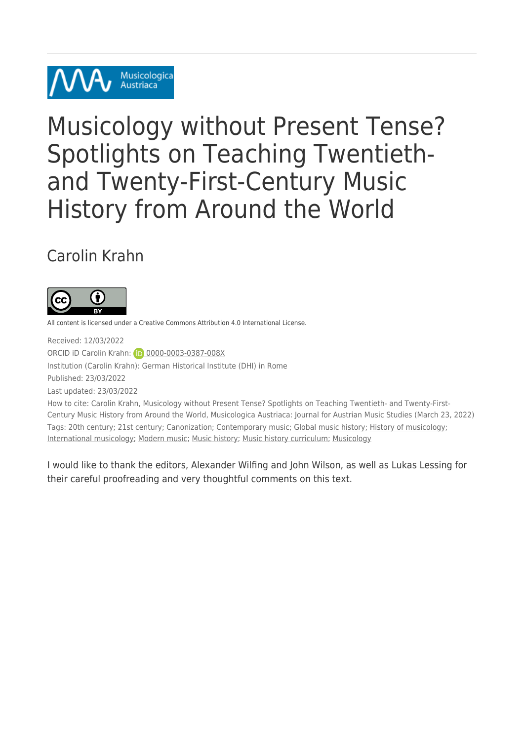

# Musicology without Present Tense? Spotlights on Teaching Twentiethand Twenty-First-Century Music History from Around the World

### Carolin Krahn



All content is licensed under a Creative Commons Attribution 4.0 International License.

Received: 12/03/2022 ORCID iD Carolin Krahn: 0[0000-0003-0387-008X](https://orcid.org/0000-0003-0387-008X) Institution (Carolin Krahn): German Historical Institute (DHI) in Rome Published: 23/03/2022 Last updated: 23/03/2022 How to cite: Carolin Krahn, Musicology without Present Tense? Spotlights on Teaching Twentieth- and Twenty-First-Century Music History from Around the World, Musicologica Austriaca: Journal for Austrian Music Studies (March 23, 2022) Tags: [20th century;](https://musau.org/parts/neue-article-page/tag/20th-century) [21st century](https://musau.org/parts/neue-article-page/tag/21st-century); [Canonization;](https://musau.org/parts/neue-article-page/tag/canonization) [Contemporary music;](https://musau.org/parts/neue-article-page/tag/contemporary-music1) [Global music history](https://musau.org/parts/neue-article-page/tag/global-music-history); [History of musicology](https://musau.org/parts/neue-article-page/tag/history-of-musicology);

[International musicology;](https://musau.org/parts/neue-article-page/tag/international-musicology) [Modern music;](https://musau.org/parts/neue-article-page/tag/modern-music) [Music history](https://musau.org/parts/neue-article-page/tag/music-history); [Music history curriculum;](https://musau.org/parts/neue-article-page/tag/music-history-curriculum) [Musicology](https://musau.org/parts/neue-article-page/tag/musicology)

I would like to thank the editors, Alexander Wilfing and John Wilson, as well as Lukas Lessing for their careful proofreading and very thoughtful comments on this text.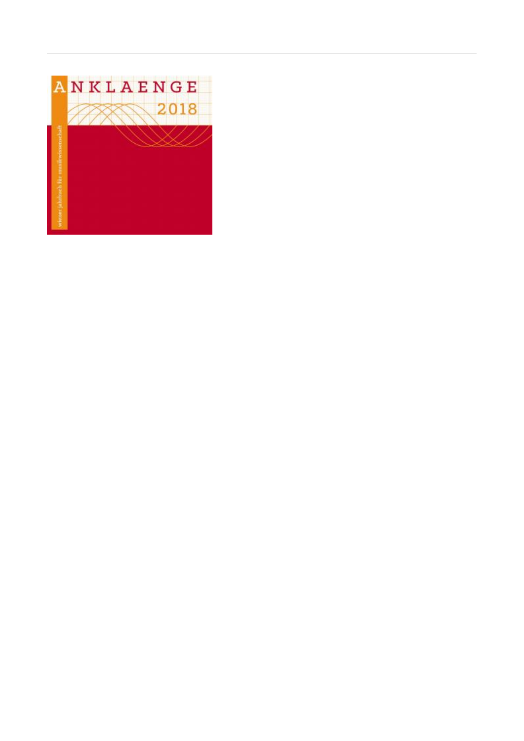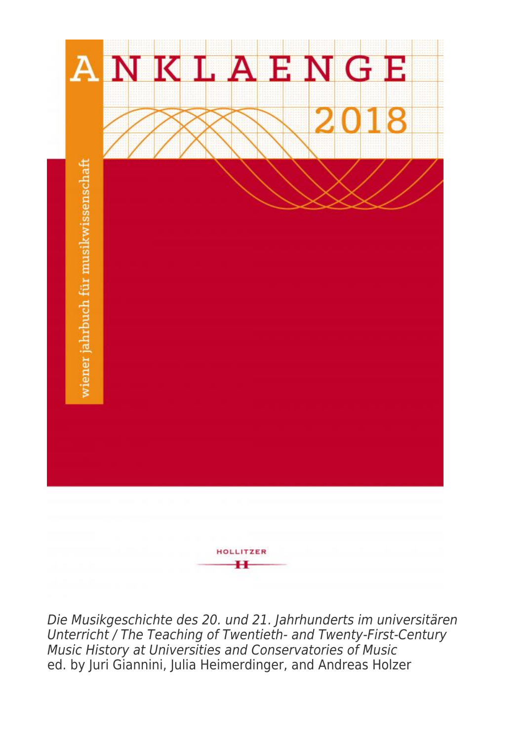

Die Musikgeschichte des 20. und 21. Jahrhunderts im universitären Unterricht / The Teaching of Twentieth- and Twenty-First-Century Music History at Universities and Conservatories of Music ed. by Juri Giannini, Julia Heimerdinger, and Andreas Holzer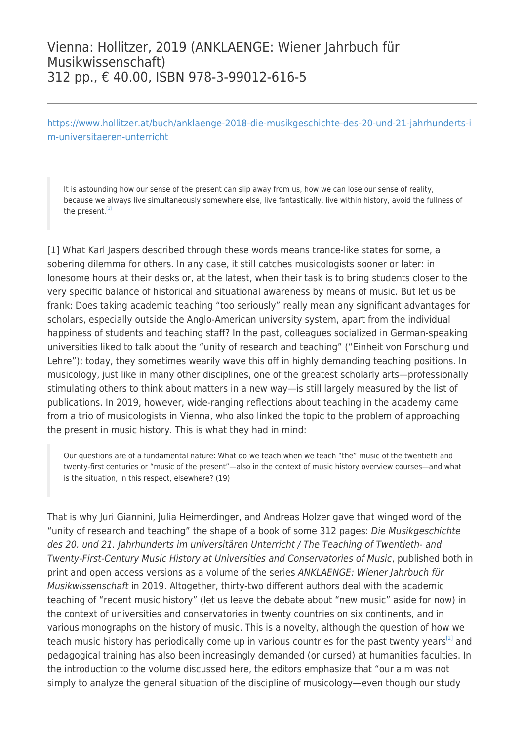#### Vienna: Hollitzer, 2019 (ANKLAENGE: Wiener Jahrbuch für Musikwissenschaft) 312 pp., € 40.00, ISBN 978-3-99012-616-5

[https://www.hollitzer.at/buch/anklaenge-2018-die-musikgeschichte-des-20-und-21-jahrhunderts-i](https://www.hollitzer.at/buch/anklaenge-2018-die-musikgeschichte-des-20-und-21-jahrhunderts-im-universitaeren-unterricht) [m-universitaeren-unterricht](https://www.hollitzer.at/buch/anklaenge-2018-die-musikgeschichte-des-20-und-21-jahrhunderts-im-universitaeren-unterricht)

It is astounding how our sense of the present can slip away from us, how we can lose our sense of reality, because we always live simultaneously somewhere else, live fantastically, live within history, avoid the fullness of the present.<sup>[\[1\]](#page--1-0)</sup>

[1] What Karl Jaspers described through these words means trance-like states for some, a sobering dilemma for others. In any case, it still catches musicologists sooner or later: in lonesome hours at their desks or, at the latest, when their task is to bring students closer to the very specific balance of historical and situational awareness by means of music. But let us be frank: Does taking academic teaching "too seriously" really mean any significant advantages for scholars, especially outside the Anglo-American university system, apart from the individual happiness of students and teaching staff? In the past, colleagues socialized in German-speaking universities liked to talk about the "unity of research and teaching" ("Einheit von Forschung und Lehre"); today, they sometimes wearily wave this off in highly demanding teaching positions. In musicology, just like in many other disciplines, one of the greatest scholarly arts—professionally stimulating others to think about matters in a new way—is still largely measured by the list of publications. In 2019, however, wide-ranging reflections about teaching in the academy came from a trio of musicologists in Vienna, who also linked the topic to the problem of approaching the present in music history. This is what they had in mind:

Our questions are of a fundamental nature: What do we teach when we teach "the" music of the twentieth and twenty-first centuries or "music of the present"—also in the context of music history overview courses—and what is the situation, in this respect, elsewhere? (19)

That is why Juri Giannini, Julia Heimerdinger, and Andreas Holzer gave that winged word of the "unity of research and teaching" the shape of a book of some 312 pages: Die Musikgeschichte des 20. und 21. Jahrhunderts im universitären Unterricht / The Teaching of Twentieth- and Twenty-First-Century Music History at Universities and Conservatories of Music, published both in print and open access versions as a volume of the series ANKLAENGE: Wiener Jahrbuch für Musikwissenschaft in 2019. Altogether, thirty-two different authors deal with the academic teaching of "recent music history" (let us leave the debate about "new music" aside for now) in the context of universities and conservatories in twenty countries on six continents, and in various monographs on the history of music. This is a novelty, although the question of how we teach music history has periodically come up in various countries for the past twenty years<sup>[\[2\]](#page--1-0)</sup> and pedagogical training has also been increasingly demanded (or cursed) at humanities faculties. In the introduction to the volume discussed here, the editors emphasize that "our aim was not simply to analyze the general situation of the discipline of musicology—even though our study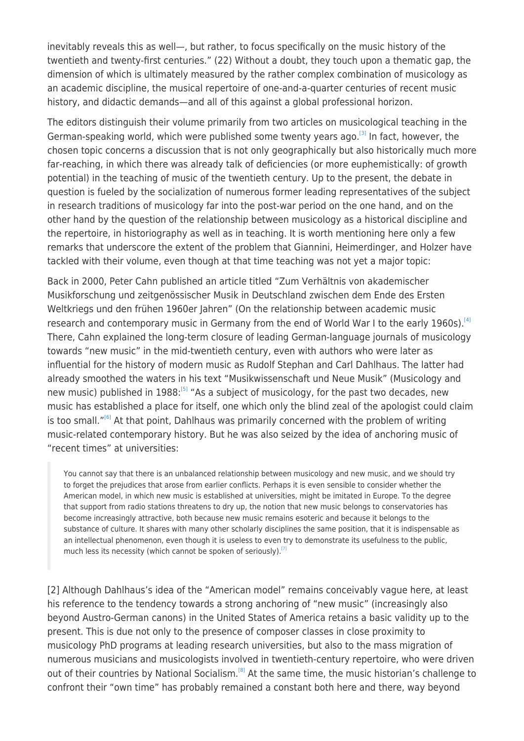inevitably reveals this as well—, but rather, to focus specifically on the music history of the twentieth and twenty-first centuries." (22) Without a doubt, they touch upon a thematic gap, the dimension of which is ultimately measured by the rather complex combination of musicology as an academic discipline, the musical repertoire of one-and-a-quarter centuries of recent music history, and didactic demands—and all of this against a global professional horizon.

The editors distinguish their volume primarily from two articles on musicological teaching in the German-speaking world, which were published some twenty years ago.<sup>[\[3\]](#page--1-0)</sup> In fact, however, the chosen topic concerns a discussion that is not only geographically but also historically much more far-reaching, in which there was already talk of deficiencies (or more euphemistically: of growth potential) in the teaching of music of the twentieth century. Up to the present, the debate in question is fueled by the socialization of numerous former leading representatives of the subject in research traditions of musicology far into the post-war period on the one hand, and on the other hand by the question of the relationship between musicology as a historical discipline and the repertoire, in historiography as well as in teaching. It is worth mentioning here only a few remarks that underscore the extent of the problem that Giannini, Heimerdinger, and Holzer have tackled with their volume, even though at that time teaching was not yet a major topic:

Back in 2000, Peter Cahn published an article titled "Zum Verhältnis von akademischer Musikforschung und zeitgenössischer Musik in Deutschland zwischen dem Ende des Ersten Weltkriegs und den frühen 1960er Jahren" (On the relationship between academic music research and contemporary music in Germany from the end of World War I to the early 1960s).<sup>[\[4\]](#page--1-0)</sup> There, Cahn explained the long-term closure of leading German-language journals of musicology towards "new music" in the mid-twentieth century, even with authors who were later as influential for the history of modern music as Rudolf Stephan and Carl Dahlhaus. The latter had already smoothed the waters in his text "Musikwissenschaft und Neue Musik" (Musicology and new music) published in 1988:<sup>[\[5\]](#page--1-0)</sup> "As a subject of musicology, for the past two decades, new music has established a place for itself, one which only the blind zeal of the apologist could claim is too small. $"$ <sup>[\[6\]](#page--1-0)</sup> At that point, Dahlhaus was primarily concerned with the problem of writing music-related contemporary history. But he was also seized by the idea of anchoring music of "recent times" at universities:

You cannot say that there is an unbalanced relationship between musicology and new music, and we should try to forget the prejudices that arose from earlier conflicts. Perhaps it is even sensible to consider whether the American model, in which new music is established at universities, might be imitated in Europe. To the degree that support from radio stations threatens to dry up, the notion that new music belongs to conservatories has become increasingly attractive, both because new music remains esoteric and because it belongs to the substance of culture. It shares with many other scholarly disciplines the same position, that it is indispensable as an intellectual phenomenon, even though it is useless to even try to demonstrate its usefulness to the public, much less its necessity (which cannot be spoken of seriously).<sup>[\[7\]](#page--1-0)</sup>

[2] Although Dahlhaus's idea of the "American model" remains conceivably vague here, at least his reference to the tendency towards a strong anchoring of "new music" (increasingly also beyond Austro-German canons) in the United States of America retains a basic validity up to the present. This is due not only to the presence of composer classes in close proximity to musicology PhD programs at leading research universities, but also to the mass migration of numerous musicians and musicologists involved in twentieth-century repertoire, who were driven out of their countries by National Socialism.<sup>[\[8\]](#page--1-0)</sup> At the same time, the music historian's challenge to confront their "own time" has probably remained a constant both here and there, way beyond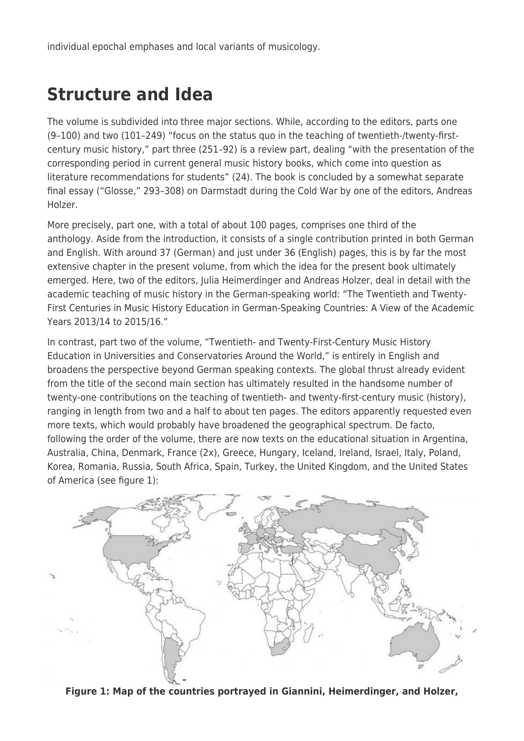individual epochal emphases and local variants of musicology.

### **Structure and Idea**

The volume is subdivided into three major sections. While, according to the editors, parts one (9–100) and two (101–249) "focus on the status quo in the teaching of twentieth-/twenty-firstcentury music history," part three (251–92) is a review part, dealing "with the presentation of the corresponding period in current general music history books, which come into question as literature recommendations for students" (24). The book is concluded by a somewhat separate final essay ("Glosse," 293–308) on Darmstadt during the Cold War by one of the editors, Andreas Holzer.

More precisely, part one, with a total of about 100 pages, comprises one third of the anthology. Aside from the introduction, it consists of a single contribution printed in both German and English. With around 37 (German) and just under 36 (English) pages, this is by far the most extensive chapter in the present volume, from which the idea for the present book ultimately emerged. Here, two of the editors, Julia Heimerdinger and Andreas Holzer, deal in detail with the academic teaching of music history in the German-speaking world: "The Twentieth and Twenty-First Centuries in Music History Education in German-Speaking Countries: A View of the Academic Years 2013/14 to 2015/16."

In contrast, part two of the volume, "Twentieth- and Twenty-First-Century Music History Education in Universities and Conservatories Around the World," is entirely in English and broadens the perspective beyond German speaking contexts. The global thrust already evident from the title of the second main section has ultimately resulted in the handsome number of twenty-one contributions on the teaching of twentieth- and twenty-first-century music (history), ranging in length from two and a half to about ten pages. The editors apparently requested even more texts, which would probably have broadened the geographical spectrum. De facto, following the order of the volume, there are now texts on the educational situation in Argentina, Australia, China, Denmark, France (2x), Greece, Hungary, Iceland, Ireland, Israel, Italy, Poland, Korea, Romania, Russia, South Africa, Spain, Turkey, the United Kingdom, and the United States of America (see figure 1):



**Figure 1: Map of the countries portrayed in Giannini, Heimerdinger, and Holzer,**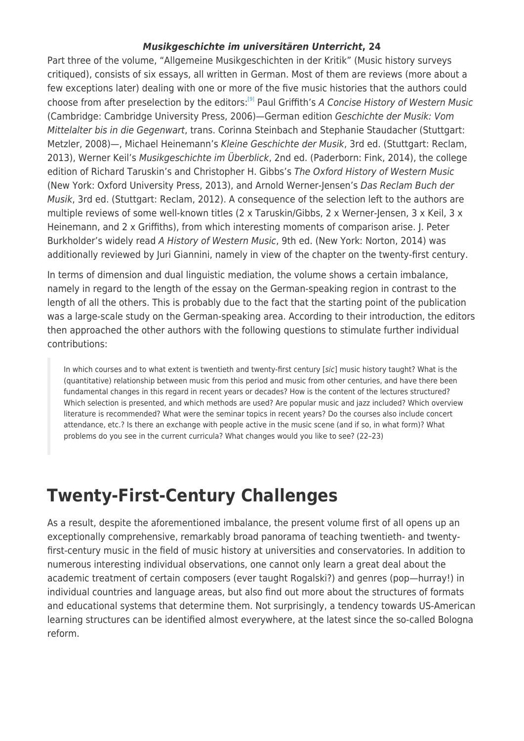#### *Musikgeschichte im universitären Unterricht***, 24**

Part three of the volume, "Allgemeine Musikgeschichten in der Kritik" (Music history surveys critiqued), consists of six essays, all written in German. Most of them are reviews (more about a few exceptions later) dealing with one or more of the five music histories that the authors could choose from after preselection by the editors:<sup>[\[9\]](#page--1-0)</sup> Paul Griffith's A Concise History of Western Music (Cambridge: Cambridge University Press, 2006)—German edition Geschichte der Musik: Vom Mittelalter bis in die Gegenwart, trans. Corinna Steinbach and Stephanie Staudacher (Stuttgart: Metzler, 2008)—, Michael Heinemann's Kleine Geschichte der Musik, 3rd ed. (Stuttgart: Reclam, 2013), Werner Keil's Musikgeschichte im Überblick, 2nd ed. (Paderborn: Fink, 2014), the college edition of Richard Taruskin's and Christopher H. Gibbs's The Oxford History of Western Music (New York: Oxford University Press, 2013), and Arnold Werner-Jensen's Das Reclam Buch der Musik, 3rd ed. (Stuttgart: Reclam, 2012). A consequence of the selection left to the authors are multiple reviews of some well-known titles (2 x Taruskin/Gibbs, 2 x Werner-Jensen, 3 x Keil, 3 x Heinemann, and 2 x Griffiths), from which interesting moments of comparison arise. J. Peter Burkholder's widely read A History of Western Music, 9th ed. (New York: Norton, 2014) was additionally reviewed by Juri Giannini, namely in view of the chapter on the twenty-first century.

In terms of dimension and dual linguistic mediation, the volume shows a certain imbalance, namely in regard to the length of the essay on the German-speaking region in contrast to the length of all the others. This is probably due to the fact that the starting point of the publication was a large-scale study on the German-speaking area. According to their introduction, the editors then approached the other authors with the following questions to stimulate further individual contributions:

In which courses and to what extent is twentieth and twenty-first century [sic] music history taught? What is the (quantitative) relationship between music from this period and music from other centuries, and have there been fundamental changes in this regard in recent years or decades? How is the content of the lectures structured? Which selection is presented, and which methods are used? Are popular music and jazz included? Which overview literature is recommended? What were the seminar topics in recent years? Do the courses also include concert attendance, etc.? Is there an exchange with people active in the music scene (and if so, in what form)? What problems do you see in the current curricula? What changes would you like to see? (22–23)

# **Twenty-First-Century Challenges**

As a result, despite the aforementioned imbalance, the present volume first of all opens up an exceptionally comprehensive, remarkably broad panorama of teaching twentieth- and twentyfirst-century music in the field of music history at universities and conservatories. In addition to numerous interesting individual observations, one cannot only learn a great deal about the academic treatment of certain composers (ever taught Rogalski?) and genres (pop—hurray!) in individual countries and language areas, but also find out more about the structures of formats and educational systems that determine them. Not surprisingly, a tendency towards US-American learning structures can be identified almost everywhere, at the latest since the so-called Bologna reform.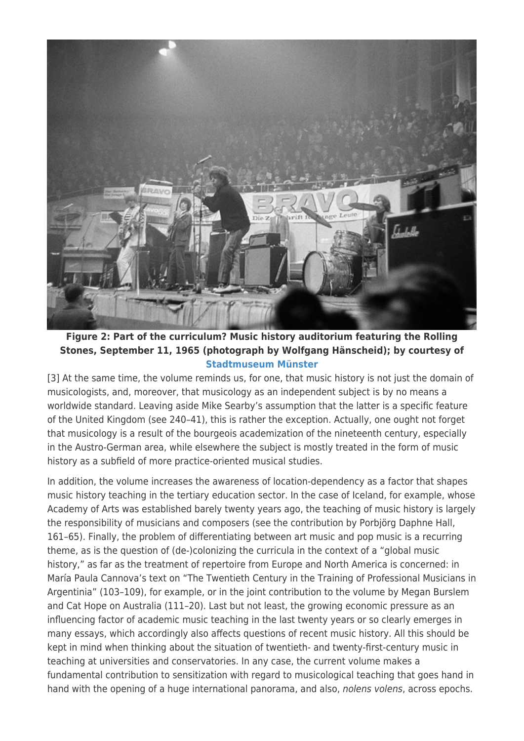

**Figure 2: Part of the curriculum? Music history auditorium featuring the Rolling Stones, September 11, 1965 (photograph by Wolfgang Hänscheid); by courtesy of [Stadtmuseum Münster](https://westfalen.museum-digital.de/object/44)**

[3] At the same time, the volume reminds us, for one, that music history is not just the domain of musicologists, and, moreover, that musicology as an independent subject is by no means a worldwide standard. Leaving aside Mike Searby's assumption that the latter is a specific feature of the United Kingdom (see 240–41), this is rather the exception. Actually, one ought not forget that musicology is a result of the bourgeois academization of the nineteenth century, especially in the Austro-German area, while elsewhere the subject is mostly treated in the form of music history as a subfield of more practice-oriented musical studies.

In addition, the volume increases the awareness of location-dependency as a factor that shapes music history teaching in the tertiary education sector. In the case of Iceland, for example, whose Academy of Arts was established barely twenty years ago, the teaching of music history is largely the responsibility of musicians and composers (see the contribution by Porbjörg Daphne Hall, 161–65). Finally, the problem of differentiating between art music and pop music is a recurring theme, as is the question of (de-)colonizing the curricula in the context of a "global music history," as far as the treatment of repertoire from Europe and North America is concerned: in María Paula Cannova's text on "The Twentieth Century in the Training of Professional Musicians in Argentinia" (103–109), for example, or in the joint contribution to the volume by Megan Burslem and Cat Hope on Australia (111–20). Last but not least, the growing economic pressure as an influencing factor of academic music teaching in the last twenty years or so clearly emerges in many essays, which accordingly also affects questions of recent music history. All this should be kept in mind when thinking about the situation of twentieth- and twenty-first-century music in teaching at universities and conservatories. In any case, the current volume makes a fundamental contribution to sensitization with regard to musicological teaching that goes hand in hand with the opening of a huge international panorama, and also, nolens volens, across epochs.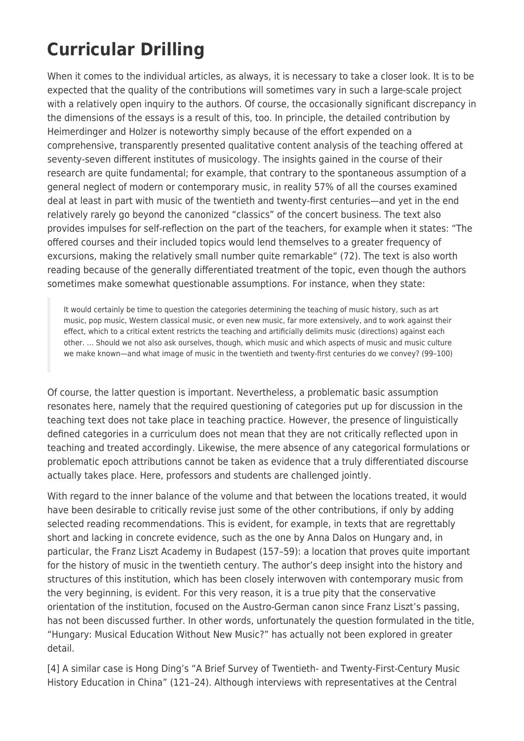# **Curricular Drilling**

When it comes to the individual articles, as always, it is necessary to take a closer look. It is to be expected that the quality of the contributions will sometimes vary in such a large-scale project with a relatively open inquiry to the authors. Of course, the occasionally significant discrepancy in the dimensions of the essays is a result of this, too. In principle, the detailed contribution by Heimerdinger and Holzer is noteworthy simply because of the effort expended on a comprehensive, transparently presented qualitative content analysis of the teaching offered at seventy-seven different institutes of musicology. The insights gained in the course of their research are quite fundamental; for example, that contrary to the spontaneous assumption of a general neglect of modern or contemporary music, in reality 57% of all the courses examined deal at least in part with music of the twentieth and twenty-first centuries—and yet in the end relatively rarely go beyond the canonized "classics" of the concert business. The text also provides impulses for self-reflection on the part of the teachers, for example when it states: "The offered courses and their included topics would lend themselves to a greater frequency of excursions, making the relatively small number quite remarkable" (72). The text is also worth reading because of the generally differentiated treatment of the topic, even though the authors sometimes make somewhat questionable assumptions. For instance, when they state:

It would certainly be time to question the categories determining the teaching of music history, such as art music, pop music, Western classical music, or even new music, far more extensively, and to work against their effect, which to a critical extent restricts the teaching and artificially delimits music (directions) against each other. … Should we not also ask ourselves, though, which music and which aspects of music and music culture we make known—and what image of music in the twentieth and twenty-first centuries do we convey? (99–100)

Of course, the latter question is important. Nevertheless, a problematic basic assumption resonates here, namely that the required questioning of categories put up for discussion in the teaching text does not take place in teaching practice. However, the presence of linguistically defined categories in a curriculum does not mean that they are not critically reflected upon in teaching and treated accordingly. Likewise, the mere absence of any categorical formulations or problematic epoch attributions cannot be taken as evidence that a truly differentiated discourse actually takes place. Here, professors and students are challenged jointly.

With regard to the inner balance of the volume and that between the locations treated, it would have been desirable to critically revise just some of the other contributions, if only by adding selected reading recommendations. This is evident, for example, in texts that are regrettably short and lacking in concrete evidence, such as the one by Anna Dalos on Hungary and, in particular, the Franz Liszt Academy in Budapest (157–59): a location that proves quite important for the history of music in the twentieth century. The author's deep insight into the history and structures of this institution, which has been closely interwoven with contemporary music from the very beginning, is evident. For this very reason, it is a true pity that the conservative orientation of the institution, focused on the Austro-German canon since Franz Liszt's passing, has not been discussed further. In other words, unfortunately the question formulated in the title, "Hungary: Musical Education Without New Music?" has actually not been explored in greater detail.

[4] A similar case is Hong Ding's "A Brief Survey of Twentieth- and Twenty-First-Century Music History Education in China" (121–24). Although interviews with representatives at the Central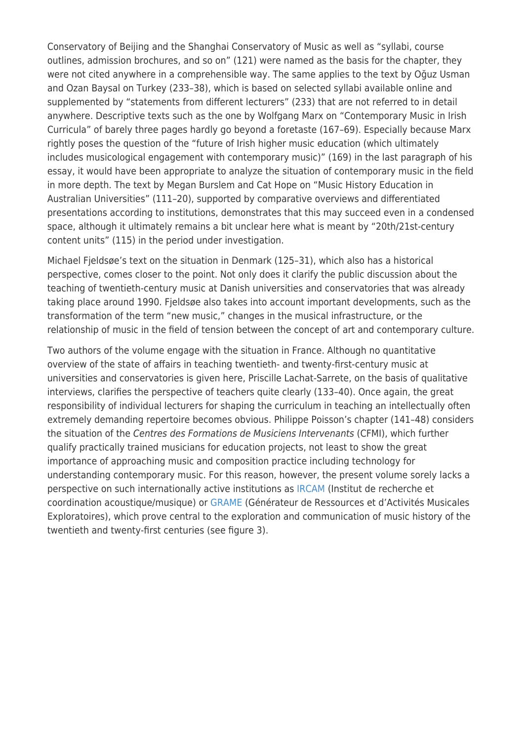Conservatory of Beijing and the Shanghai Conservatory of Music as well as "syllabi, course outlines, admission brochures, and so on" (121) were named as the basis for the chapter, they were not cited anywhere in a comprehensible way. The same applies to the text by Oğuz Usman and Ozan Baysal on Turkey (233–38), which is based on selected syllabi available online and supplemented by "statements from different lecturers" (233) that are not referred to in detail anywhere. Descriptive texts such as the one by Wolfgang Marx on "Contemporary Music in Irish Curricula" of barely three pages hardly go beyond a foretaste (167–69). Especially because Marx rightly poses the question of the "future of Irish higher music education (which ultimately includes musicological engagement with contemporary music)" (169) in the last paragraph of his essay, it would have been appropriate to analyze the situation of contemporary music in the field in more depth. The text by Megan Burslem and Cat Hope on "Music History Education in Australian Universities" (111–20), supported by comparative overviews and differentiated presentations according to institutions, demonstrates that this may succeed even in a condensed space, although it ultimately remains a bit unclear here what is meant by "20th/21st-century content units" (115) in the period under investigation.

Michael Fjeldsøe's text on the situation in Denmark (125–31), which also has a historical perspective, comes closer to the point. Not only does it clarify the public discussion about the teaching of twentieth-century music at Danish universities and conservatories that was already taking place around 1990. Fjeldsøe also takes into account important developments, such as the transformation of the term "new music," changes in the musical infrastructure, or the relationship of music in the field of tension between the concept of art and contemporary culture.

Two authors of the volume engage with the situation in France. Although no quantitative overview of the state of affairs in teaching twentieth- and twenty-first-century music at universities and conservatories is given here, Priscille Lachat-Sarrete, on the basis of qualitative interviews, clarifies the perspective of teachers quite clearly (133–40). Once again, the great responsibility of individual lecturers for shaping the curriculum in teaching an intellectually often extremely demanding repertoire becomes obvious. Philippe Poisson's chapter (141–48) considers the situation of the Centres des Formations de Musiciens Intervenants (CFMI), which further qualify practically trained musicians for education projects, not least to show the great importance of approaching music and composition practice including technology for understanding contemporary music. For this reason, however, the present volume sorely lacks a perspective on such internationally active institutions as [IRCAM](https://www.ircam.fr/) (Institut de recherche et coordination acoustique/musique) or [GRAME](https://www.grame.fr/) (Générateur de Ressources et d'Activités Musicales Exploratoires), which prove central to the exploration and communication of music history of the twentieth and twenty-first centuries (see figure 3).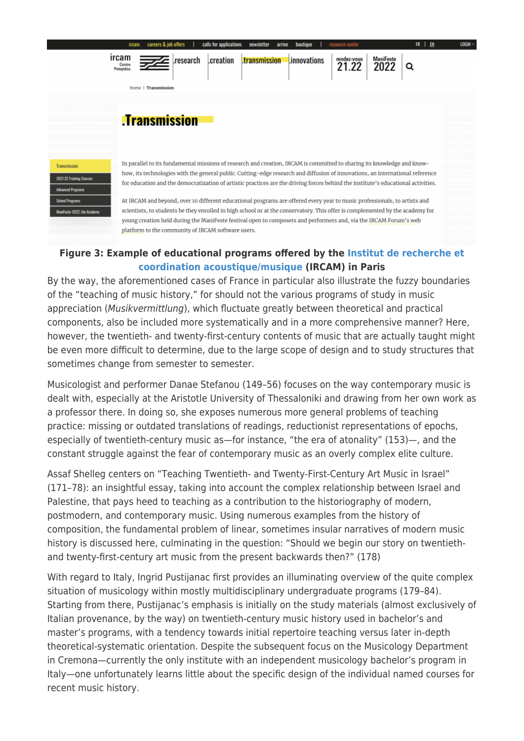

#### **Figure 3: Example of educational programs offered by the [Institut de recherche et](https://www.ircam.fr/transmission) [coordination acoustique/musique](https://www.ircam.fr/transmission) (IRCAM) in Paris**

By the way, the aforementioned cases of France in particular also illustrate the fuzzy boundaries of the "teaching of music history," for should not the various programs of study in music appreciation (Musikvermittlung), which fluctuate greatly between theoretical and practical components, also be included more systematically and in a more comprehensive manner? Here, however, the twentieth- and twenty-first-century contents of music that are actually taught might be even more difficult to determine, due to the large scope of design and to study structures that sometimes change from semester to semester.

Musicologist and performer Danae Stefanou (149–56) focuses on the way contemporary music is dealt with, especially at the Aristotle University of Thessaloniki and drawing from her own work as a professor there. In doing so, she exposes numerous more general problems of teaching practice: missing or outdated translations of readings, reductionist representations of epochs, especially of twentieth-century music as—for instance, "the era of atonality" (153)—, and the constant struggle against the fear of contemporary music as an overly complex elite culture.

Assaf Shelleg centers on "Teaching Twentieth- and Twenty-First-Century Art Music in Israel" (171–78): an insightful essay, taking into account the complex relationship between Israel and Palestine, that pays heed to teaching as a contribution to the historiography of modern, postmodern, and contemporary music. Using numerous examples from the history of composition, the fundamental problem of linear, sometimes insular narratives of modern music history is discussed here, culminating in the question: "Should we begin our story on twentiethand twenty-first-century art music from the present backwards then?" (178)

With regard to Italy, Ingrid Pustijanac first provides an illuminating overview of the quite complex situation of musicology within mostly multidisciplinary undergraduate programs (179–84). Starting from there, Pustijanac's emphasis is initially on the study materials (almost exclusively of Italian provenance, by the way) on twentieth-century music history used in bachelor's and master's programs, with a tendency towards initial repertoire teaching versus later in-depth theoretical-systematic orientation. Despite the subsequent focus on the Musicology Department in Cremona—currently the only institute with an independent musicology bachelor's program in Italy—one unfortunately learns little about the specific design of the individual named courses for recent music history.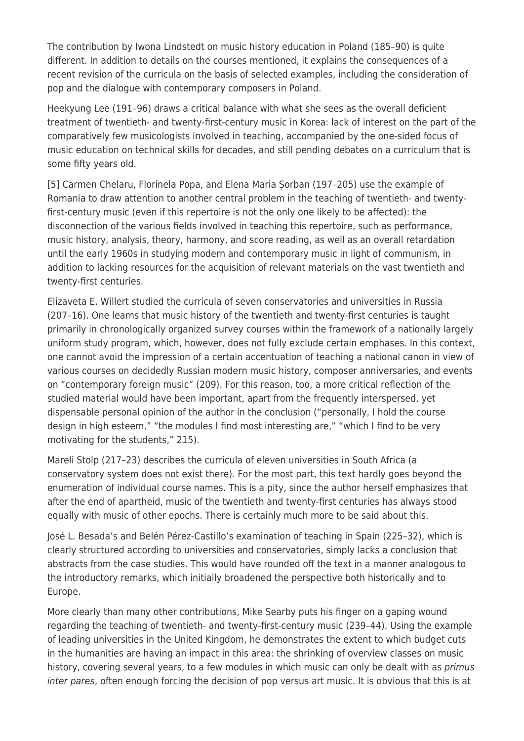The contribution by Iwona Lindstedt on music history education in Poland (185–90) is quite different. In addition to details on the courses mentioned, it explains the consequences of a recent revision of the curricula on the basis of selected examples, including the consideration of pop and the dialogue with contemporary composers in Poland.

Heekyung Lee (191–96) draws a critical balance with what she sees as the overall deficient treatment of twentieth- and twenty-first-century music in Korea: lack of interest on the part of the comparatively few musicologists involved in teaching, accompanied by the one-sided focus of music education on technical skills for decades, and still pending debates on a curriculum that is some fifty years old.

[5] Carmen Chelaru, Florinela Popa, and Elena Maria Șorban (197–205) use the example of Romania to draw attention to another central problem in the teaching of twentieth- and twentyfirst-century music (even if this repertoire is not the only one likely to be affected): the disconnection of the various fields involved in teaching this repertoire, such as performance, music history, analysis, theory, harmony, and score reading, as well as an overall retardation until the early 1960s in studying modern and contemporary music in light of communism, in addition to lacking resources for the acquisition of relevant materials on the vast twentieth and twenty-first centuries.

Elizaveta E. Willert studied the curricula of seven conservatories and universities in Russia (207–16). One learns that music history of the twentieth and twenty-first centuries is taught primarily in chronologically organized survey courses within the framework of a nationally largely uniform study program, which, however, does not fully exclude certain emphases. In this context, one cannot avoid the impression of a certain accentuation of teaching a national canon in view of various courses on decidedly Russian modern music history, composer anniversaries, and events on "contemporary foreign music" (209). For this reason, too, a more critical reflection of the studied material would have been important, apart from the frequently interspersed, yet dispensable personal opinion of the author in the conclusion ("personally, I hold the course design in high esteem," "the modules I find most interesting are," "which I find to be very motivating for the students," 215).

Mareli Stolp (217–23) describes the curricula of eleven universities in South Africa (a conservatory system does not exist there). For the most part, this text hardly goes beyond the enumeration of individual course names. This is a pity, since the author herself emphasizes that after the end of apartheid, music of the twentieth and twenty-first centuries has always stood equally with music of other epochs. There is certainly much more to be said about this.

José L. Besada's and Belén Pérez-Castillo's examination of teaching in Spain (225–32), which is clearly structured according to universities and conservatories, simply lacks a conclusion that abstracts from the case studies. This would have rounded off the text in a manner analogous to the introductory remarks, which initially broadened the perspective both historically and to Europe.

More clearly than many other contributions, Mike Searby puts his finger on a gaping wound regarding the teaching of twentieth- and twenty-first-century music (239–44). Using the example of leading universities in the United Kingdom, he demonstrates the extent to which budget cuts in the humanities are having an impact in this area: the shrinking of overview classes on music history, covering several years, to a few modules in which music can only be dealt with as *primus* inter pares, often enough forcing the decision of pop versus art music. It is obvious that this is at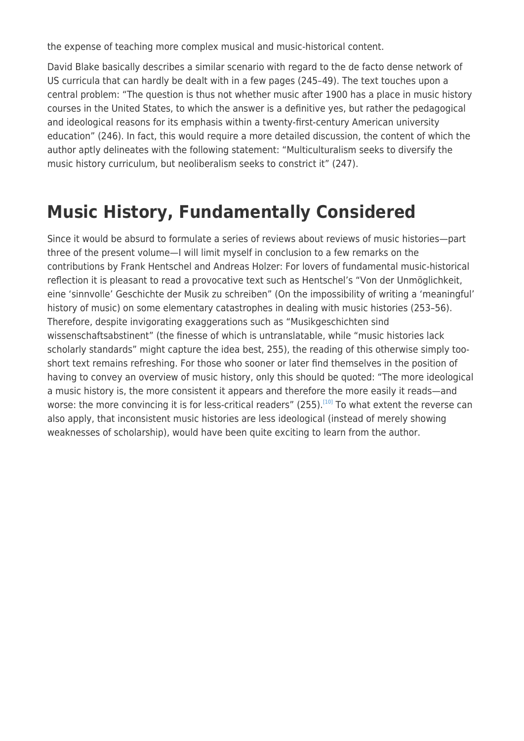the expense of teaching more complex musical and music-historical content.

David Blake basically describes a similar scenario with regard to the de facto dense network of US curricula that can hardly be dealt with in a few pages (245–49). The text touches upon a central problem: "The question is thus not whether music after 1900 has a place in music history courses in the United States, to which the answer is a definitive yes, but rather the pedagogical and ideological reasons for its emphasis within a twenty-first-century American university education" (246). In fact, this would require a more detailed discussion, the content of which the author aptly delineates with the following statement: "Multiculturalism seeks to diversify the music history curriculum, but neoliberalism seeks to constrict it" (247).

# **Music History, Fundamentally Considered**

Since it would be absurd to formulate a series of reviews about reviews of music histories—part three of the present volume—I will limit myself in conclusion to a few remarks on the contributions by Frank Hentschel and Andreas Holzer: For lovers of fundamental music-historical reflection it is pleasant to read a provocative text such as Hentschel's "Von der Unmöglichkeit, eine 'sinnvolle' Geschichte der Musik zu schreiben" (On the impossibility of writing a 'meaningful' history of music) on some elementary catastrophes in dealing with music histories (253–56). Therefore, despite invigorating exaggerations such as "Musikgeschichten sind wissenschaftsabstinent" (the finesse of which is untranslatable, while "music histories lack scholarly standards" might capture the idea best, 255), the reading of this otherwise simply tooshort text remains refreshing. For those who sooner or later find themselves in the position of having to convey an overview of music history, only this should be quoted: "The more ideological a music history is, the more consistent it appears and therefore the more easily it reads—and worse: the more convincing it is for less-critical readers" (255).<sup>[\[10\]](#page--1-0)</sup> To what extent the reverse can also apply, that inconsistent music histories are less ideological (instead of merely showing weaknesses of scholarship), would have been quite exciting to learn from the author.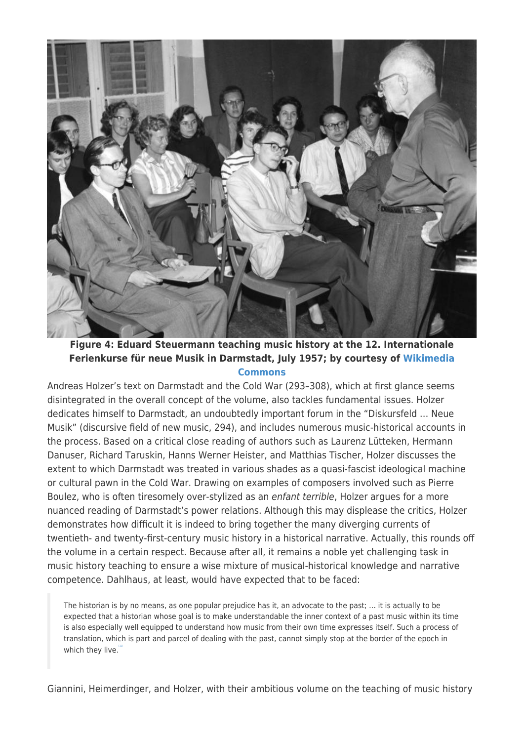

**Figure 4: Eduard Steuermann teaching music history at the 12. Internationale Ferienkurse für neue Musik in Darmstadt, July 1957; by courtesy of [Wikimedia](https://commons.wikimedia.org/wiki/File:Bundesarchiv_B_145_Bild-F004565-0007,_Darmstadt,_Internationaler_Kurs_f%C3%BCr_neue_Musik.jpg) [Commons](https://commons.wikimedia.org/wiki/File:Bundesarchiv_B_145_Bild-F004565-0007,_Darmstadt,_Internationaler_Kurs_f%C3%BCr_neue_Musik.jpg)**

Andreas Holzer's text on Darmstadt and the Cold War (293–308), which at first glance seems disintegrated in the overall concept of the volume, also tackles fundamental issues. Holzer dedicates himself to Darmstadt, an undoubtedly important forum in the "Diskursfeld … Neue Musik" (discursive field of new music, 294), and includes numerous music-historical accounts in the process. Based on a critical close reading of authors such as Laurenz Lütteken, Hermann Danuser, Richard Taruskin, Hanns Werner Heister, and Matthias Tischer, Holzer discusses the extent to which Darmstadt was treated in various shades as a quasi-fascist ideological machine or cultural pawn in the Cold War. Drawing on examples of composers involved such as Pierre Boulez, who is often tiresomely over-stylized as an enfant terrible, Holzer argues for a more nuanced reading of Darmstadt's power relations. Although this may displease the critics, Holzer demonstrates how difficult it is indeed to bring together the many diverging currents of twentieth- and twenty-first-century music history in a historical narrative. Actually, this rounds off the volume in a certain respect. Because after all, it remains a noble yet challenging task in music history teaching to ensure a wise mixture of musical-historical knowledge and narrative competence. Dahlhaus, at least, would have expected that to be faced:

The historian is by no means, as one popular prejudice has it, an advocate to the past; … it is actually to be expected that a historian whose goal is to make understandable the inner context of a past music within its time is also especially well equipped to understand how music from their own time expresses itself. Such a process of translation, which is part and parcel of dealing with the past, cannot simply stop at the border of the epoch in which they live.

Giannini, Heimerdinger, and Holzer, with their ambitious volume on the teaching of music history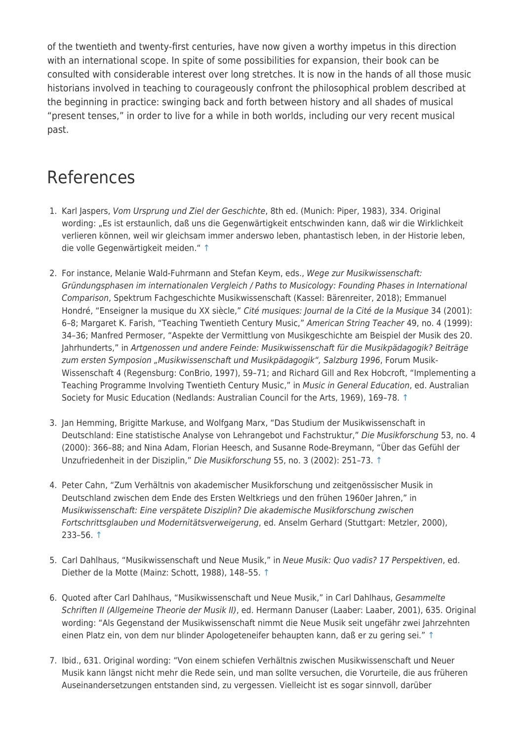of the twentieth and twenty-first centuries, have now given a worthy impetus in this direction with an international scope. In spite of some possibilities for expansion, their book can be consulted with considerable interest over long stretches. It is now in the hands of all those music historians involved in teaching to courageously confront the philosophical problem described at the beginning in practice: swinging back and forth between history and all shades of musical "present tenses," in order to live for a while in both worlds, including our very recent musical past.

### References

- 1. Karl Jaspers, Vom Ursprung und Ziel der Geschichte, 8th ed. (Munich: Piper, 1983), 334. Original wording: "Es ist erstaunlich, daß uns die Gegenwärtigkeit entschwinden kann, daß wir die Wirklichkeit verlieren können, weil wir gleichsam immer anderswo leben, phantastisch leben, in der Historie leben, die volle Gegenwärtigkeit meiden." [↑](#page--1-0)
- 2. For instance, Melanie Wald-Fuhrmann and Stefan Keym, eds., Wege zur Musikwissenschaft: Gründungsphasen im internationalen Vergleich / Paths to Musicology: Founding Phases in International Comparison, Spektrum Fachgeschichte Musikwissenschaft (Kassel: Bärenreiter, 2018); Emmanuel Hondré, "Enseigner la musique du XX siècle," Cité musiques: Journal de la Cité de la Musique 34 (2001): 6–8; Margaret K. Farish, "Teaching Twentieth Century Music," American String Teacher 49, no. 4 (1999): 34–36; Manfred Permoser, "Aspekte der Vermittlung von Musikgeschichte am Beispiel der Musik des 20. Jahrhunderts," in Artgenossen und andere Feinde: Musikwissenschaft für die Musikpädagogik? Beiträge zum ersten Symposion "Musikwissenschaft und Musikpädagogik", Salzburg 1996, Forum Musik-Wissenschaft 4 (Regensburg: ConBrio, 1997), 59–71; and Richard Gill and Rex Hobcroft, "Implementing a Teaching Programme Involving Twentieth Century Music," in Music in General Education, ed. Australian Society for Music Education (Nedlands: Australian Council for the Arts, 1969), 169–78. [↑](#page--1-0)
- 3. Jan Hemming, Brigitte Markuse, and Wolfgang Marx, "Das Studium der Musikwissenschaft in Deutschland: Eine statistische Analyse von Lehrangebot und Fachstruktur," Die Musikforschung 53, no. 4 (2000): 366–88; and Nina Adam, Florian Heesch, and Susanne Rode-Breymann, "Über das Gefühl der Unzufriedenheit in der Disziplin," Die Musikforschung 55, no. 3 (2002): 251–73. [↑](#page--1-0)
- 4. Peter Cahn, "Zum Verhältnis von akademischer Musikforschung und zeitgenössischer Musik in Deutschland zwischen dem Ende des Ersten Weltkriegs und den frühen 1960er Jahren," in Musikwissenschaft: Eine verspätete Disziplin? Die akademische Musikforschung zwischen Fortschrittsglauben und Modernitätsverweigerung, ed. Anselm Gerhard (Stuttgart: Metzler, 2000), 233–56. [↑](#page--1-0)
- 5. Carl Dahlhaus, "Musikwissenschaft und Neue Musik," in Neue Musik: Quo vadis? 17 Perspektiven, ed. Diether de la Motte (Mainz: Schott, 1988), 148–55. [↑](#page--1-0)
- 6. Quoted after Carl Dahlhaus, "Musikwissenschaft und Neue Musik," in Carl Dahlhaus, Gesammelte Schriften II (Allgemeine Theorie der Musik II), ed. Hermann Danuser (Laaber: Laaber, 2001), 635. Original wording: "Als Gegenstand der Musikwissenschaft nimmt die Neue Musik seit ungefähr zwei Jahrzehnten einen Platz ein, von dem nur blinder Apologeteneifer behaupten kann, daß er zu gering sei." [↑](#page--1-0)
- 7. Ibid., 631. Original wording: "Von einem schiefen Verhältnis zwischen Musikwissenschaft und Neuer Musik kann längst nicht mehr die Rede sein, und man sollte versuchen, die Vorurteile, die aus früheren Auseinandersetzungen entstanden sind, zu vergessen. Vielleicht ist es sogar sinnvoll, darüber